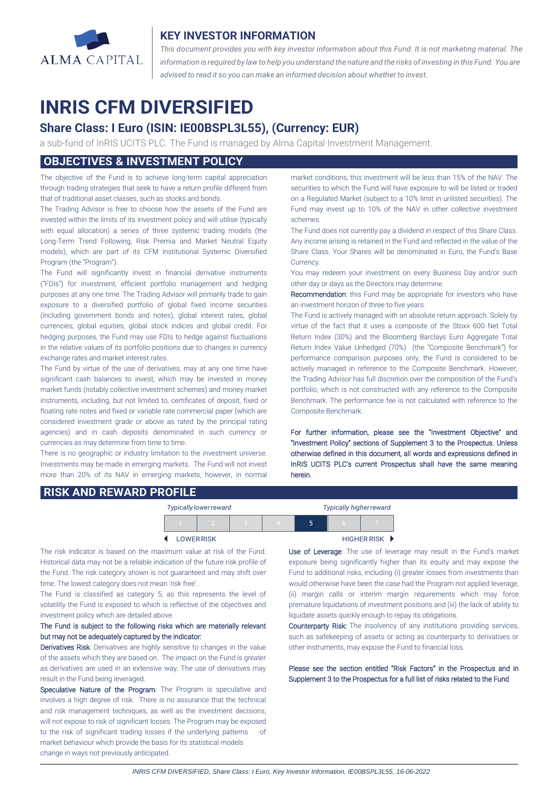

## **KEY INVESTOR INFORMATION**

*This document provides you with key investor information about this Fund. It is not marketing material. The* information is required by law to help you understand the nature and the risks of investing in this Fund. You are *advised to read it so you can make an informed decision about whether to invest.*

# **INRIS CFM DIVERSIFIED**

# **Share Class: I Euro (ISIN: IE00BSPL3L55), (Currency: EUR)**

a sub-fund of InRIS UCITS PLC. The Fund is managed by Alma Capital Investment Management.

# **OBJECTIVES & INVESTMENT POLICY**

The objective of the Fund is to achieve long-term capital appreciation through trading strategies that seek to have a return profile different from that of traditional asset classes, such as stocks and bonds.

The Trading Advisor is free to choose how the assets of the Fund are invested within the limits of its investment policy and will utilise (typically with equal allocation) a series of three systemic trading models (the Long-Term Trend Following, Risk Premia and Market Neutral Equity models), which are part of its CFM Institutional Systemic Diversified Program (the "Program").

The Fund will significantly invest in financial derivative instruments ("FDIs") for investment, efficient portfolio management and hedging purposes at any one time. The Trading Advisor will primarily trade to gain exposure to a diversified portfolio of global fixed income securities (including government bonds and notes), global interest rates, global currencies, global equities, global stock indices and global credit. For hedging purposes, the Fund may use FDIs to hedge against fluctuations in the relative values of its portfolio positions due to changes in currency exchange rates and market interest rates.

The Fund by virtue of the use of derivatives, may at any one time have significant cash balances to invest, which may be invested in money market funds (notably collective investment schemes) and money market instruments, including, but not limited to, certificates of deposit, fixed or floating rate notes and fixed or variable rate commercial paper (which are considered investment grade or above as rated by the principal rating agencies) and in cash deposits denominated in such currency or currencies as may determine from time to time.

There is no geographic or industry limitation to the investment universe. Investments may be made in emerging markets. The Fund will not invest more than 20% of its NAV in emerging markets, however, in normal market conditions, this investment will be less than 15% of the NAV. The securities to which the Fund will have exposure to will be listed or traded on a Regulated Market (subject to a 10% limit in unlisted securities). The Fund may invest up to 10% of the NAV in other collective investment schemes.

The Fund does not currently pay a dividend in respect of this Share Class. Any income arising is retained in the Fund and reflected in the value of the Share Class. Your Shares will be denominated in Euro, the Fund's Base Currency.

You may redeem your investment on every Business Day and/or such other day or days as the Directors may determine.

Recommendation: this Fund may be appropriate for investors who have an investment horizon of three to five years.

The Fund is actively managed with an absolute return approach. Solely by virtue of the fact that it uses a composite of the Stoxx 600 Net Total Return Index (30%) and the Bloomberg Barclays Euro Aggregate Total Return Index Value Unhedged (70%) (the "Composite Benchmark") for performance comparison purposes only, the Fund is considered to be actively managed in reference to the Composite Benchmark. However, the Trading Advisor has full discretion over the composition of the Fund's portfolio, which is not constructed with any reference to the Composite Benchmark. The performance fee is not calculated with reference to the Composite Benchmark.

For further information, please see the "Investment Objective" and "Investment Policy" sections of Supplement 3 to the Prospectus. Unless otherwise defined in this document, all words and expressions defined in InRIS UCITS PLC's current Prospectus shall have the same meaning herein.

### **RISK AND REWARD PROFILE**

|                   |  | Typically lower reward |                      | <b>Typically higher reward</b> |  |  |
|-------------------|--|------------------------|----------------------|--------------------------------|--|--|
|                   |  |                        |                      | 5                              |  |  |
| <b>LOWER RISK</b> |  |                        | <b>HIGHER RISK ▶</b> |                                |  |  |

The risk indicator is based on the maximum value at risk of the Fund. Historical data may not be a reliable indication of the future risk profile of the Fund. The risk category shown is not guaranteed and may shift over time. The lowest category does not mean 'risk free'.

The Fund is classified as category 5, as this represents the level of volatility the Fund is exposed to which is reflective of the objectives and investment policy which are detailed above.

#### The Fund is subject to the following risks which are materially relevant but may not be adequately captured by the indicator:

Derivatives Risk: Derivatives are highly sensitive to changes in the value of the assets which they are based on. The impact on the Fund is greater as derivatives are used in an extensive way. The use of derivatives may result in the Fund being leveraged.

Speculative Nature of the Program: The Program is speculative and involves a high degree of risk. There is no assurance that the technical and risk management techniques, as well as the investment decisions, will not expose to risk of significant losses. The Program may be exposed to the risk of significant trading losses if the underlying patterns of market behaviour which provide the basis for its statistical models change in ways not previously anticipated.

 $\overline{a}$ 

Use of Leverage: The use of leverage may result in the Fund's market exposure being significantly higher than its equity and may expose the Fund to additional risks, including (i) greater losses from investments than would otherwise have been the case had the Program not applied leverage, (ii) margin calls or interim margin requirements which may force premature liquidations of investment positions and (iii) the lack of ability to liquidate assets quickly enough to repay its obligations.

Counterparty Risk: The insolvency of any institutions providing services, such as safekeeping of assets or acting as counterparty to derivatives or other instruments, may expose the Fund to financial loss.

Please see the section entitled "Risk Factors" in the Prospectus and in Supplement 3 to the Prospectus for a full list of risks related to the Fund.